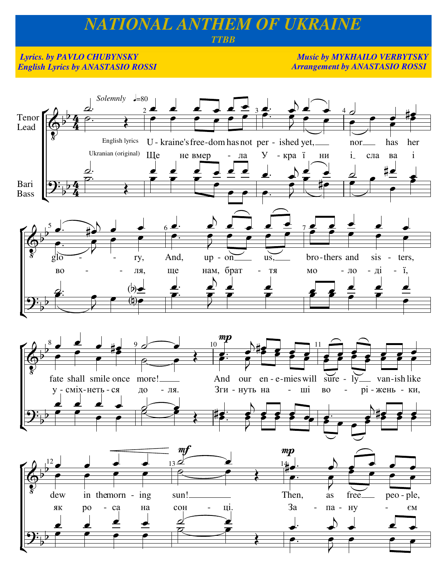## NATIONAL ANTHEM OF UKRAINE

## **TTBB**

## **Lyrics. by PAVLO CHUBYNSKY English Lyrics by ANASTASIO ROSSI**

**Music by MYKHAILO VERBYTSKY Arrangement by ANASTASIO ROSSI** 

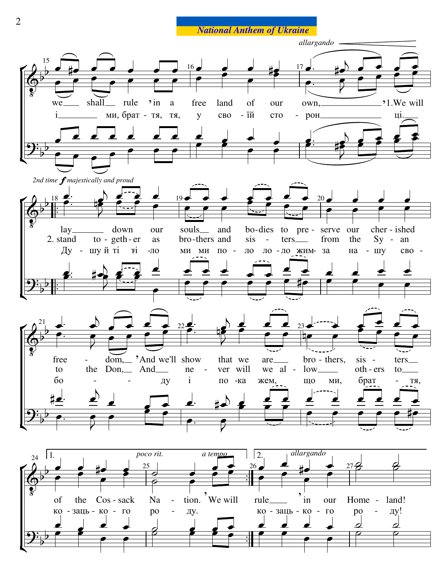**National Anthem of Ukraine**